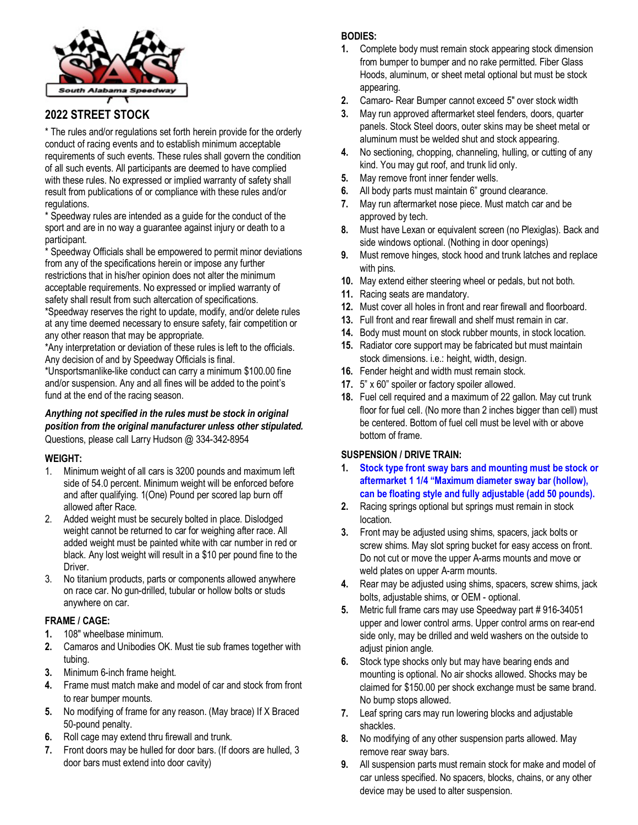

# **2022 STREET STOCK**

\* The rules and/or regulations set forth herein provide for the orderly conduct of racing events and to establish minimum acceptable requirements of such events. These rules shall govern the condition of all such events. All participants are deemed to have complied with these rules. No expressed or implied warranty of safety shall result from publications of or compliance with these rules and/or regulations.

\* Speedway rules are intended as a guide for the conduct of the sport and are in no way a guarantee against injury or death to a participant.

\* Speedway Officials shall be empowered to permit minor deviations from any of the specifications herein or impose any further restrictions that in his/her opinion does not alter the minimum acceptable requirements. No expressed or implied warranty of safety shall result from such altercation of specifications.

\*Speedway reserves the right to update, modify, and/or delete rules at any time deemed necessary to ensure safety, fair competition or any other reason that may be appropriate.

\*Any interpretation or deviation of these rules is left to the officials. Any decision of and by Speedway Officials is final.

\*Unsportsmanlike-like conduct can carry a minimum \$100.00 fine and/or suspension. Any and all fines will be added to the point's fund at the end of the racing season.

#### *Anything not specified in the rules must be stock in original position from the original manufacturer unless other stipulated.* Questions, please call Larry Hudson @ 334-342-8954

### **WEIGHT:**

- 1. Minimum weight of all cars is 3200 pounds and maximum left side of 54.0 percent. Minimum weight will be enforced before and after qualifying. 1(One) Pound per scored lap burn off allowed after Race.
- 2. Added weight must be securely bolted in place. Dislodged weight cannot be returned to car for weighing after race. All added weight must be painted white with car number in red or black. Any lost weight will result in a \$10 per pound fine to the Driver.
- 3. No titanium products, parts or components allowed anywhere on race car. No gun-drilled, tubular or hollow bolts or studs anywhere on car.

### **FRAME / CAGE:**

- **1.** 108″ wheelbase minimum.
- **2.** Camaros and Unibodies OK. Must tie sub frames together with tubing.
- **3.** Minimum 6-inch frame height.
- **4.** Frame must match make and model of car and stock from front to rear bumper mounts.
- **5.** No modifying of frame for any reason. (May brace) If X Braced 50-pound penalty.
- **6.** Roll cage may extend thru firewall and trunk.
- **7.** Front doors may be hulled for door bars. (If doors are hulled, 3 door bars must extend into door cavity)

## **BODIES:**

- **1.** Complete body must remain stock appearing stock dimension from bumper to bumper and no rake permitted. Fiber Glass Hoods, aluminum, or sheet metal optional but must be stock appearing.
- **2.** Camaro- Rear Bumper cannot exceed 5" over stock width
- **3.** May run approved aftermarket steel fenders, doors, quarter panels. Stock Steel doors, outer skins may be sheet metal or aluminum must be welded shut and stock appearing.
- **4.** No sectioning, chopping, channeling, hulling, or cutting of any kind. You may gut roof, and trunk lid only.
- **5.** May remove front inner fender wells.
- **6.** All body parts must maintain 6" ground clearance.
- **7.** May run aftermarket nose piece. Must match car and be approved by tech.
- **8.** Must have Lexan or equivalent screen (no Plexiglas). Back and side windows optional. (Nothing in door openings)
- **9.** Must remove hinges, stock hood and trunk latches and replace with pins.
- **10.** May extend either steering wheel or pedals, but not both.
- **11.** Racing seats are mandatory.
- **12.** Must cover all holes in front and rear firewall and floorboard.
- **13.** Full front and rear firewall and shelf must remain in car.
- **14.** Body must mount on stock rubber mounts, in stock location.
- **15.** Radiator core support may be fabricated but must maintain stock dimensions. i.e.: height, width, design.
- **16.** Fender height and width must remain stock.
- **17.** 5" x 60" spoiler or factory spoiler allowed.
- **18.** Fuel cell required and a maximum of 22 gallon. May cut trunk floor for fuel cell. (No more than 2 inches bigger than cell) must be centered. Bottom of fuel cell must be level with or above bottom of frame.

### **SUSPENSION / DRIVE TRAIN:**

- **1. Stock type front sway bars and mounting must be stock or aftermarket 1 1/4 "Maximum diameter sway bar (hollow), can be floating style and fully adjustable (add 50 pounds).**
- **2.** Racing springs optional but springs must remain in stock location.
- **3.** Front may be adjusted using shims, spacers, jack bolts or screw shims. May slot spring bucket for easy access on front. Do not cut or move the upper A-arms mounts and move or weld plates on upper A-arm mounts.
- **4.** Rear may be adjusted using shims, spacers, screw shims, jack bolts, adjustable shims, or OEM - optional.
- **5.** Metric full frame cars may use Speedway part # 916-34051 upper and lower control arms. Upper control arms on rear-end side only, may be drilled and weld washers on the outside to adjust pinion angle.
- **6.** Stock type shocks only but may have bearing ends and mounting is optional. No air shocks allowed. Shocks may be claimed for \$150.00 per shock exchange must be same brand. No bump stops allowed.
- **7.** Leaf spring cars may run lowering blocks and adjustable shackles.
- **8.** No modifying of any other suspension parts allowed. May remove rear sway bars.
- **9.** All suspension parts must remain stock for make and model of car unless specified. No spacers, blocks, chains, or any other device may be used to alter suspension.